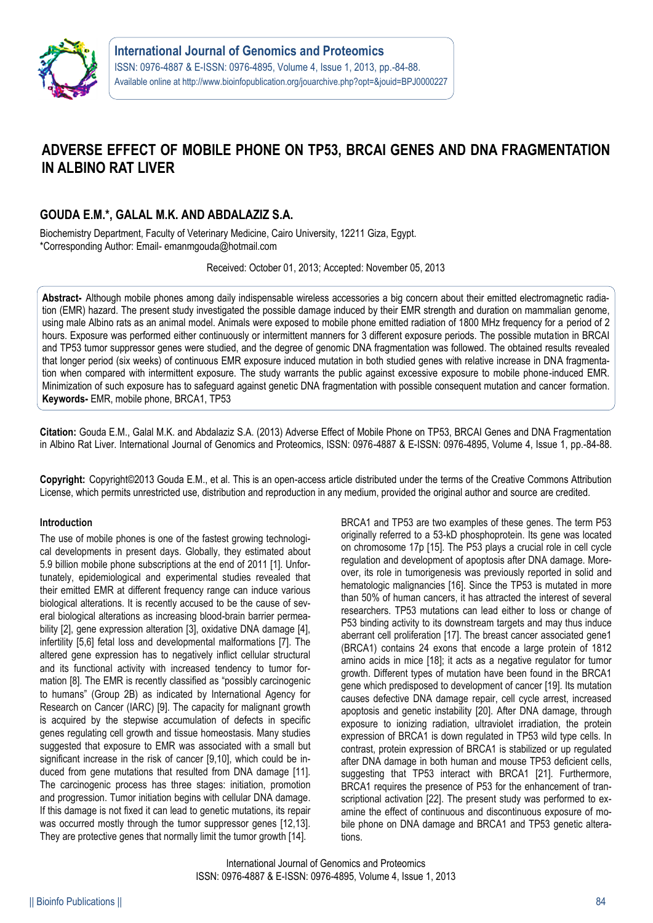

# **ADVERSE EFFECT OF MOBILE PHONE ON TP53, BRCAI GENES AND DNA FRAGMENTATION IN ALBINO RAT LIVER**

# **GOUDA E.M.\*, GALAL M.K. AND ABDALAZIZ S.A.**

Biochemistry Department, Faculty of Veterinary Medicine, Cairo University, 12211 Giza, Egypt. \*Corresponding Author: Email- emanmgouda@hotmail.com

Received: October 01, 2013; Accepted: November 05, 2013

**Abstract-** Although mobile phones among daily indispensable wireless accessories a big concern about their emitted electromagnetic radiation (EMR) hazard. The present study investigated the possible damage induced by their EMR strength and duration on mammalian genome, using male Albino rats as an animal model. Animals were exposed to mobile phone emitted radiation of 1800 MHz frequency for a period of 2 hours. Exposure was performed either continuously or intermittent manners for 3 different exposure periods. The possible mutation in BRCAI and TP53 tumor suppressor genes were studied, and the degree of genomic DNA fragmentation was followed. The obtained results revealed that longer period (six weeks) of continuous EMR exposure induced mutation in both studied genes with relative increase in DNA fragmentation when compared with intermittent exposure. The study warrants the public against excessive exposure to mobile phone-induced EMR. Minimization of such exposure has to safeguard against genetic DNA fragmentation with possible consequent mutation and cancer formation. **Keywords-** EMR, mobile phone, BRCA1, TP53

**Citation:** Gouda E.M., Galal M.K. and Abdalaziz S.A. (2013) Adverse Effect of Mobile Phone on TP53, BRCAI Genes and DNA Fragmentation in Albino Rat Liver. International Journal of Genomics and Proteomics, ISSN: 0976-4887 & E-ISSN: 0976-4895, Volume 4, Issue 1, pp.-84-88.

**Copyright:** Copyright©2013 Gouda E.M., et al. This is an open-access article distributed under the terms of the Creative Commons Attribution License, which permits unrestricted use, distribution and reproduction in any medium, provided the original author and source are credited.

## **Introduction**

The use of mobile phones is one of the fastest growing technological developments in present days. Globally, they estimated about 5.9 billion mobile phone subscriptions at the end of 2011 [1]. Unfortunately, epidemiological and experimental studies revealed that their emitted EMR at different frequency range can induce various biological alterations. It is recently accused to be the cause of several biological alterations as increasing blood-brain barrier permeability [2], gene expression alteration [3], oxidative DNA damage [4], infertility [5,6] fetal loss and developmental malformations [7]. The altered gene expression has to negatively inflict cellular structural and its functional activity with increased tendency to tumor formation [8]. The EMR is recently classified as "possibly carcinogenic to humans" (Group 2B) as indicated by International Agency for Research on Cancer (IARC) [9]. The capacity for malignant growth is acquired by the stepwise accumulation of defects in specific genes regulating cell growth and tissue homeostasis. Many studies suggested that exposure to EMR was associated with a small but significant increase in the risk of cancer [9,10], which could be induced from gene mutations that resulted from DNA damage [11]. The carcinogenic process has three stages: initiation, promotion and progression. Tumor initiation begins with cellular DNA damage. If this damage is not fixed it can lead to genetic mutations, its repair was occurred mostly through the tumor suppressor genes [12,13]. They are protective genes that normally limit the tumor growth [14].

BRCA1 and TP53 are two examples of these genes. The term P53 originally referred to a 53-kD phosphoprotein. Its gene was located on chromosome 17p [15]. The P53 plays a crucial role in cell cycle regulation and development of apoptosis after DNA damage. Moreover, its role in tumorigenesis was previously reported in solid and hematologic malignancies [16]. Since the TP53 is mutated in more than 50% of human cancers, it has attracted the interest of several researchers. TP53 mutations can lead either to loss or change of P53 binding activity to its downstream targets and may thus induce aberrant cell proliferation [17]. The breast cancer associated gene1 (BRCA1) contains 24 exons that encode a large protein of 1812 amino acids in mice [18]; it acts as a negative regulator for tumor growth. Different types of mutation have been found in the BRCA1 gene which predisposed to development of cancer [19]. Its mutation causes defective DNA damage repair, cell cycle arrest, increased apoptosis and genetic instability [20]. After DNA damage, through exposure to ionizing radiation, ultraviolet irradiation, the protein expression of BRCA1 is down regulated in TP53 wild type cells. In contrast, protein expression of BRCA1 is stabilized or up regulated after DNA damage in both human and mouse TP53 deficient cells, suggesting that TP53 interact with BRCA1 [21]. Furthermore, BRCA1 requires the presence of P53 for the enhancement of transcriptional activation [22]. The present study was performed to examine the effect of continuous and discontinuous exposure of mobile phone on DNA damage and BRCA1 and TP53 genetic alterations.

International Journal of Genomics and Proteomics ISSN: 0976-4887 & E-ISSN: 0976-4895, Volume 4, Issue 1, 2013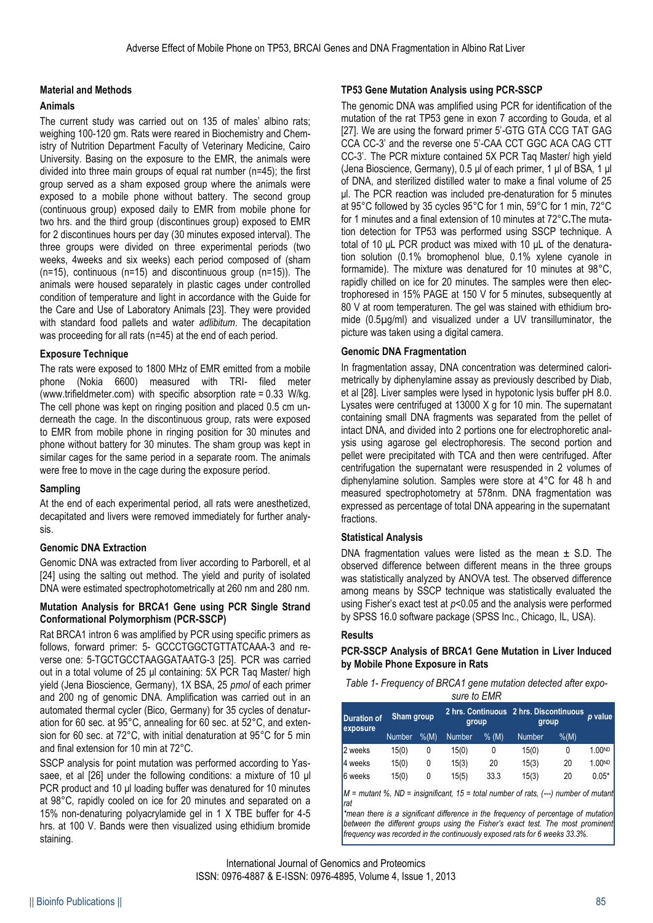## **Material and Methods**

#### **Animals**

The current study was carried out on 135 of males' albino rats; weighing 100-120 gm. Rats were reared in Biochemistry and Chemistry of Nutrition Department Faculty of Veterinary Medicine, Cairo University. Basing on the exposure to the EMR, the animals were divided into three main groups of equal rat number (n=45); the first group served as a sham exposed group where the animals were exposed to a mobile phone without battery. The second group (continuous group) exposed daily to EMR from mobile phone for two hrs. and the third group (discontinues group) exposed to EMR for 2 discontinues hours per day (30 minutes exposed interval). The three groups were divided on three experimental periods (two weeks, 4weeks and six weeks) each period composed of (sham (n=15), continuous (n=15) and discontinuous group (n=15)). The animals were housed separately in plastic cages under controlled condition of temperature and light in accordance with the Guide for the Care and Use of Laboratory Animals [23]. They were provided with standard food pallets and water *adlibitum*. The decapitation was proceeding for all rats (n=45) at the end of each period.

## **Exposure Technique**

The rats were exposed to 1800 MHz of EMR emitted from a mobile phone (Nokia 6600) measured with TRI- filed meter (www.trifieldmeter.com) with specific absorption rate = 0.33 W/kg. The cell phone was kept on ringing position and placed 0.5 cm underneath the cage. In the discontinuous group, rats were exposed to EMR from mobile phone in ringing position for 30 minutes and phone without battery for 30 minutes. The sham group was kept in similar cages for the same period in a separate room. The animals were free to move in the cage during the exposure period.

## **Sampling**

At the end of each experimental period, all rats were anesthetized, decapitated and livers were removed immediately for further analysis.

## **Genomic DNA Extraction**

Genomic DNA was extracted from liver according to Parborell, et al [24] using the salting out method. The yield and purity of isolated DNA were estimated spectrophotometrically at 260 nm and 280 nm.

## **Mutation Analysis for BRCA1 Gene using PCR Single Strand Conformational Polymorphism (PCR-SSCP)**

Rat BRCA1 intron 6 was amplified by PCR using specific primers as follows, forward primer: 5- GCCCTGGCTGTTATCAAA-3 and reverse one: 5-TGCTGCCTAAGGATAATG-3 [25]. PCR was carried out in a total volume of 25 μl containing: 5X PCR Taq Master/ high yield (Jena Bioscience, Germany), 1X BSA, 25 *pmol* of each primer and 200 ng of genomic DNA. Amplification was carried out in an automated thermal cycler (Bico, Germany) for 35 cycles of denaturation for 60 sec. at 95°C, annealing for 60 sec. at 52°C, and extension for 60 sec. at 72°C, with initial denaturation at 95°C for 5 min and final extension for 10 min at 72°C.

SSCP analysis for point mutation was performed according to Yassaee, et al [26] under the following conditions: a mixture of 10 μl PCR product and 10 μl loading buffer was denatured for 10 minutes at 98°C, rapidly cooled on ice for 20 minutes and separated on a 15% non-denaturing polyacrylamide gel in 1 X TBE buffer for 4-5 hrs. at 100 V. Bands were then visualized using ethidium bromide staining.

## **TP53 Gene Mutation Analysis using PCR-SSCP**

The genomic DNA was amplified using PCR for identification of the mutation of the rat TP53 gene in exon 7 according to Gouda, et al [27]. We are using the forward primer 5'-GTG GTA CCG TAT GAG CCA CC-3' and the reverse one 5'-CAA CCT GGC ACA CAG CTT CC-3'. The PCR mixture contained 5X PCR Taq Master/ high yield (Jena Bioscience, Germany), 0.5 μl of each primer, 1 μl of BSA, 1 μl of DNA, and sterilized distilled water to make a final volume of 25 μl. The PCR reaction was included pre-denaturation for 5 minutes at 95°C followed by 35 cycles 95°C for 1 min, 59°C for 1 min, 72°C for 1 minutes and a final extension of 10 minutes at 72°C**.**The mutation detection for TP53 was performed using SSCP technique. A total of 10 μL PCR product was mixed with 10 μL of the denaturation solution (0.1% bromophenol blue, 0.1% xylene cyanole in formamide). The mixture was denatured for 10 minutes at 98°C, rapidly chilled on ice for 20 minutes. The samples were then electrophoresed in 15% PAGE at 150 V for 5 minutes, subsequently at 80 V at room temperaturen. The gel was stained with ethidium bromide (0.5µg/ml) and visualized under a UV transilluminator, the picture was taken using a digital camera.

## **Genomic DNA Fragmentation**

In fragmentation assay, DNA concentration was determined calorimetrically by diphenylamine assay as previously described by Diab, et al [28]. Liver samples were lysed in hypotonic lysis buffer pH 8.0. Lysates were centrifuged at 13000 X g for 10 min. The supernatant containing small DNA fragments was separated from the pellet of intact DNA, and divided into 2 portions one for electrophoretic analysis using agarose gel electrophoresis. The second portion and pellet were precipitated with TCA and then were centrifuged. After centrifugation the supernatant were resuspended in 2 volumes of diphenylamine solution. Samples were store at 4°C for 48 h and measured spectrophotometry at 578nm. DNA fragmentation was expressed as percentage of total DNA appearing in the supernatant fractions.

## **Statistical Analysis**

DNA fragmentation values were listed as the mean  $\pm$  S.D. The observed difference between different means in the three groups was statistically analyzed by ANOVA test. The observed difference among means by SSCP technique was statistically evaluated the using Fisher's exact test at *p*<0.05 and the analysis were performed by SPSS 16.0 software package (SPSS Inc., Chicago, IL, USA).

## **Results**

## **PCR-SSCP Analysis of BRCA1 Gene Mutation in Liver Induced by Mobile Phone Exposure in Rats**

| Table 1- Frequency of BRCA1 gene mutation detected after expo- |  |
|----------------------------------------------------------------|--|
| sure to FMR                                                    |  |

| sure to EMR |  |  |
|-------------|--|--|
|             |  |  |

| <b>Duration of</b><br>exposure | Sham group    |           | group  |         | 2 hrs. Continuous 2 hrs. Discontinuous<br>group |       | p value |
|--------------------------------|---------------|-----------|--------|---------|-------------------------------------------------|-------|---------|
|                                | <b>Number</b> | $%$ $(M)$ | Number | $%$ (M) | <b>Number</b>                                   | % (M) |         |
| 2 weeks                        | 15(0)         | 0         | 15(0)  | 0       | 15(0)                                           | 0     | 1.00ND  |
| l4 weeks                       | 15(0)         | 0         | 15(3)  | 20      | 15(3)                                           | 20    | 1.00ND  |
| 6 weeks                        | 15(0)         | 0         | 15(5)  | 33.3    | 15(3)                                           | 20    | $0.05*$ |

*M = mutant %, ND = insignificant, 15 = total number of rats, (---) number of mutant rat*

*\*mean there is a significant difference in the frequency of percentage of mutation*  between the different groups using the Fisher's exact test. The most prominent *frequency was recorded in the continuously exposed rats for 6 weeks 33.3%.*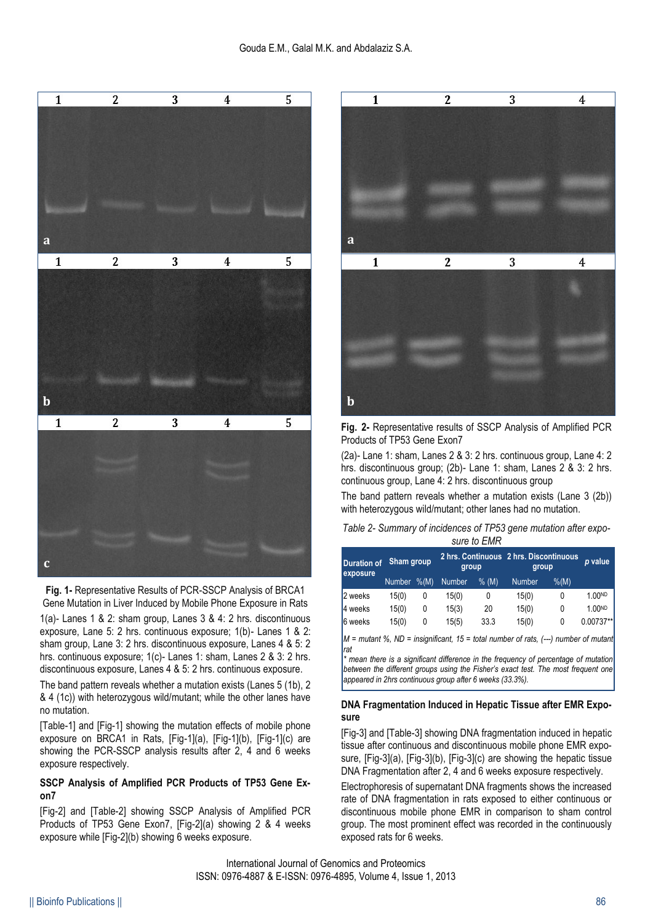

**Fig. 1-** Representative Results of PCR-SSCP Analysis of BRCA1 Gene Mutation in Liver Induced by Mobile Phone Exposure in Rats 1(a)- Lanes 1 & 2: sham group, Lanes 3 & 4: 2 hrs. discontinuous exposure, Lane 5: 2 hrs. continuous exposure; 1(b)- Lanes 1 & 2: sham group, Lane 3: 2 hrs. discontinuous exposure, Lanes 4 & 5: 2 hrs. continuous exposure; 1(c)- Lanes 1: sham, Lanes 2 & 3: 2 hrs. discontinuous exposure, Lanes 4 & 5: 2 hrs. continuous exposure.

The band pattern reveals whether a mutation exists (Lanes 5 (1b), 2 & 4 (1c)) with heterozygous wild/mutant; while the other lanes have no mutation.

[Table-1] and [Fig-1] showing the mutation effects of mobile phone exposure on BRCA1 in Rats, [Fig-1](a), [Fig-1](b), [Fig-1](c) are showing the PCR-SSCP analysis results after 2, 4 and 6 weeks exposure respectively.

## **SSCP Analysis of Amplified PCR Products of TP53 Gene Exon7**

[Fig-2] and [Table-2] showing SSCP Analysis of Amplified PCR Products of TP53 Gene Exon7, [Fig-2](a) showing 2 & 4 weeks exposure while [Fig-2](b) showing 6 weeks exposure.



**Fig. 2-** Representative results of SSCP Analysis of Amplified PCR Products of TP53 Gene Exon7

(2a)- Lane 1: sham, Lanes 2 & 3: 2 hrs. continuous group, Lane 4: 2 hrs. discontinuous group; (2b)- Lane 1: sham, Lanes 2 & 3: 2 hrs. continuous group, Lane 4: 2 hrs. discontinuous group

The band pattern reveals whether a mutation exists (Lane 3 (2b)) with heterozygous wild/mutant; other lanes had no mutation.

*Table 2- Summary of incidences of TP53 gene mutation after exposure to EMR*

| <b>Duration of</b><br>exposure | Sham group    |       | group  |       | 2 hrs. Continuous 2 hrs. Discontinuous<br>group |       | p value   |
|--------------------------------|---------------|-------|--------|-------|-------------------------------------------------|-------|-----------|
|                                | <b>Number</b> | % (M) | Number | % (M) | <b>Number</b>                                   | % (M) |           |
| 2 weeks                        | 15(0)         | 0     | 15(0)  | 0     | 15(0)                                           |       | 1 00ND    |
| 4 weeks                        | 15(0)         | 0     | 15(3)  | 20    | 15(0)                                           |       | 1 00ND    |
| <b>6</b> weeks                 | 15(0)         | 0     | 15(5)  | 33.3  | 15(0)                                           | 0     | 0.00737** |

*M = mutant %, ND = insignificant, 15 = total number of rats, (---) number of mutant rat*

*\* mean there is a significant difference in the frequency of percentage of mutation between the different groups using the Fisher's exact test. The most frequent one appeared in 2hrs continuous group after 6 weeks (33.3%).*

## **DNA Fragmentation Induced in Hepatic Tissue after EMR Exposure**

[Fig-3] and [Table-3] showing DNA fragmentation induced in hepatic tissue after continuous and discontinuous mobile phone EMR exposure, [Fig-3](a), [Fig-3](b), [Fig-3](c) are showing the hepatic tissue DNA Fragmentation after 2, 4 and 6 weeks exposure respectively.

Electrophoresis of supernatant DNA fragments shows the increased rate of DNA fragmentation in rats exposed to either continuous or discontinuous mobile phone EMR in comparison to sham control group. The most prominent effect was recorded in the continuously exposed rats for 6 weeks.

International Journal of Genomics and Proteomics ISSN: 0976-4887 & E-ISSN: 0976-4895, Volume 4, Issue 1, 2013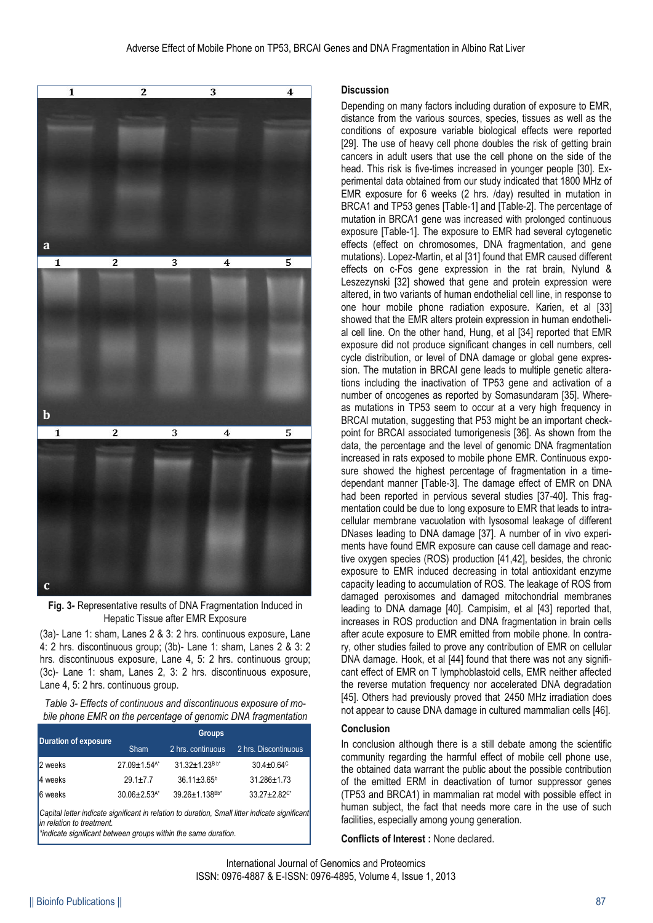

**Fig. 3-** Representative results of DNA Fragmentation Induced in Hepatic Tissue after EMR Exposure

(3a)- Lane 1: sham, Lanes 2 & 3: 2 hrs. continuous exposure, Lane 4: 2 hrs. discontinuous group; (3b)- Lane 1: sham, Lanes 2 & 3: 2 hrs. discontinuous exposure, Lane 4, 5: 2 hrs. continuous group; (3c)- Lane 1: sham, Lanes 2, 3: 2 hrs. discontinuous exposure, Lane 4, 5: 2 hrs. continuous group.

*Table 3- Effects of continuous and discontinuous exposure of mobile phone EMR on the percentage of genomic DNA fragmentation*

| <b>Duration of exposure</b>                                                                              | <b>Groups</b>                    |                               |                                |  |  |  |
|----------------------------------------------------------------------------------------------------------|----------------------------------|-------------------------------|--------------------------------|--|--|--|
|                                                                                                          | <b>Sham</b><br>2 hrs. continuous |                               | 2 hrs. Discontinuous           |  |  |  |
| 2 weeks                                                                                                  | 27.09±1.54 <sup>A*</sup>         | $31.32 + 1.23Bb$ <sup>*</sup> | $30.4 \pm 0.64$ <sup>c</sup>   |  |  |  |
| 4 weeks                                                                                                  | $29.1 \pm 7.7$                   | $36.11 \pm 3.65$ <sup>b</sup> | 31.286±1.73                    |  |  |  |
| <b>6</b> weeks                                                                                           | $30.06 \pm 2.53$ <sup>A*</sup>   | 39.26±1.138Bb*                | $33.27 \pm 2.82$ <sup>c*</sup> |  |  |  |
| <u>ICapital latter indicate significant in relation to duration. Small litter indicate significant l</u> |                                  |                               |                                |  |  |  |

*Capital letter indicate significant in relation to duration, Small litter indicate significant in relation to treatment. \*indicate significant between groups within the same duration.*

## **Discussion**

Depending on many factors including duration of exposure to EMR, distance from the various sources, species, tissues as well as the conditions of exposure variable biological effects were reported [29]. The use of heavy cell phone doubles the risk of getting brain cancers in adult users that use the cell phone on the side of the head. This risk is five-times increased in younger people [30]. Experimental data obtained from our study indicated that 1800 MHz of EMR exposure for 6 weeks (2 hrs. /day) resulted in mutation in BRCA1 and TP53 genes [Table-1] and [Table-2]. The percentage of mutation in BRCA1 gene was increased with prolonged continuous exposure [Table-1]. The exposure to EMR had several cytogenetic effects (effect on chromosomes, DNA fragmentation, and gene mutations). Lopez-Martin, et al [31] found that EMR caused different effects on c-Fos gene expression in the rat brain, Nylund & Leszezynski [32] showed that gene and protein expression were altered, in two variants of human endothelial cell line, in response to one hour mobile phone radiation exposure. Karien, et al [33] showed that the EMR alters protein expression in human endothelial cell line. On the other hand, Hung, et al [34] reported that EMR exposure did not produce significant changes in cell numbers, cell cycle distribution, or level of DNA damage or global gene expression. The mutation in BRCAI gene leads to multiple genetic alterations including the inactivation of TP53 gene and activation of a number of oncogenes as reported by Somasundaram [35]. Whereas mutations in TP53 seem to occur at a very high frequency in BRCAI mutation, suggesting that P53 might be an important checkpoint for BRCAI associated tumorigenesis [36]. As shown from the data, the percentage and the level of genomic DNA fragmentation increased in rats exposed to mobile phone EMR. Continuous exposure showed the highest percentage of fragmentation in a timedependant manner [Table-3]. The damage effect of EMR on DNA had been reported in pervious several studies [37-40]. This fragmentation could be due to long exposure to EMR that leads to intracellular membrane vacuolation with lysosomal leakage of different DNases leading to DNA damage [37]. A number of in vivo experiments have found EMR exposure can cause cell damage and reactive oxygen species (ROS) production [41,42], besides, the chronic exposure to EMR induced decreasing in total antioxidant enzyme capacity leading to accumulation of ROS. The leakage of ROS from damaged peroxisomes and damaged mitochondrial membranes leading to DNA damage [40]. Campisim, et al [43] reported that, increases in ROS production and DNA fragmentation in brain cells after acute exposure to EMR emitted from mobile phone. In contrary, other studies failed to prove any contribution of EMR on cellular DNA damage. Hook, et al [44] found that there was not any significant effect of EMR on T lymphoblastoid cells, EMR neither affected the reverse mutation frequency nor accelerated DNA degradation [45]. Others had previously proved that 2450 MHz irradiation does not appear to cause DNA damage in cultured mammalian cells [46].

# **Conclusion**

In conclusion although there is a still debate among the scientific community regarding the harmful effect of mobile cell phone use, the obtained data warrant the public about the possible contribution of the emitted ERM in deactivation of tumor suppressor genes (TP53 and BRCA1) in mammalian rat model with possible effect in human subject, the fact that needs more care in the use of such facilities, especially among young generation.

**Conflicts of Interest :** None declared.

International Journal of Genomics and Proteomics ISSN: 0976-4887 & E-ISSN: 0976-4895, Volume 4, Issue 1, 2013